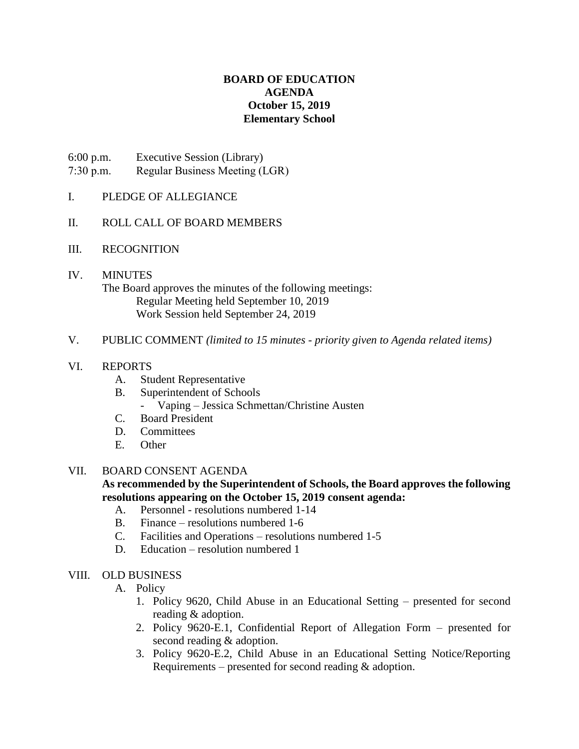# **BOARD OF EDUCATION AGENDA October 15, 2019 Elementary School**

6:00 p.m. Executive Session (Library)

- 7:30 p.m. Regular Business Meeting (LGR)
- I. PLEDGE OF ALLEGIANCE
- II. ROLL CALL OF BOARD MEMBERS
- III. RECOGNITION

# IV. MINUTES The Board approves the minutes of the following meetings: Regular Meeting held September 10, 2019 Work Session held September 24, 2019

### V. PUBLIC COMMENT *(limited to 15 minutes - priority given to Agenda related items)*

### VI. REPORTS

- A. Student Representative
- B. Superintendent of Schools - Vaping – Jessica Schmettan/Christine Austen
- C. Board President
- D. Committees
- 
- E. Other

### VII. BOARD CONSENT AGENDA

## **As recommended by the Superintendent of Schools, the Board approves the following resolutions appearing on the October 15, 2019 consent agenda:**

- A. Personnel resolutions numbered 1-14
- B. Finance resolutions numbered 1-6
- C. Facilities and Operations resolutions numbered 1-5
- D. Education resolution numbered 1

### VIII. OLD BUSINESS

- A. Policy
	- 1. Policy 9620, Child Abuse in an Educational Setting presented for second reading & adoption.
	- 2. Policy 9620-E.1, Confidential Report of Allegation Form presented for second reading & adoption.
	- 3. Policy 9620-E.2, Child Abuse in an Educational Setting Notice/Reporting Requirements – presented for second reading & adoption.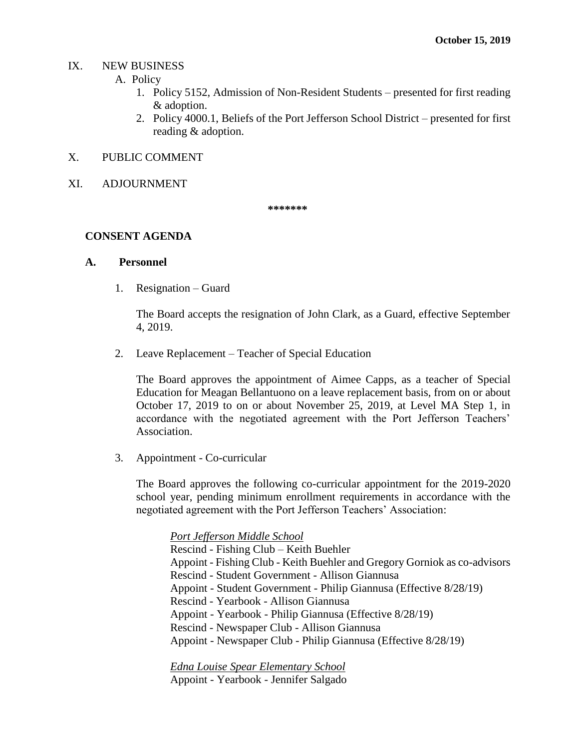#### IX. NEW BUSINESS

- A. Policy
	- 1. Policy 5152, Admission of Non-Resident Students presented for first reading & adoption.
	- 2. Policy 4000.1, Beliefs of the Port Jefferson School District presented for first reading & adoption.

### X. PUBLIC COMMENT

XI. ADJOURNMENT

**\*\*\*\*\*\*\***

### **CONSENT AGENDA**

### **A. Personnel**

1. Resignation – Guard

The Board accepts the resignation of John Clark, as a Guard, effective September 4, 2019.

2. Leave Replacement – Teacher of Special Education

The Board approves the appointment of Aimee Capps, as a teacher of Special Education for Meagan Bellantuono on a leave replacement basis, from on or about October 17, 2019 to on or about November 25, 2019, at Level MA Step 1, in accordance with the negotiated agreement with the Port Jefferson Teachers' Association.

3. Appointment - Co-curricular

The Board approves the following co-curricular appointment for the 2019-2020 school year, pending minimum enrollment requirements in accordance with the negotiated agreement with the Port Jefferson Teachers' Association:

*Port Jefferson Middle School*

Rescind - Fishing Club – Keith Buehler

- Appoint Fishing Club Keith Buehler and Gregory Gorniok as co-advisors
- Rescind Student Government Allison Giannusa
- Appoint Student Government Philip Giannusa (Effective 8/28/19)
- Rescind Yearbook Allison Giannusa
- Appoint Yearbook Philip Giannusa (Effective 8/28/19)
- Rescind Newspaper Club Allison Giannusa
- Appoint Newspaper Club Philip Giannusa (Effective 8/28/19)

*Edna Louise Spear Elementary School* Appoint - Yearbook - Jennifer Salgado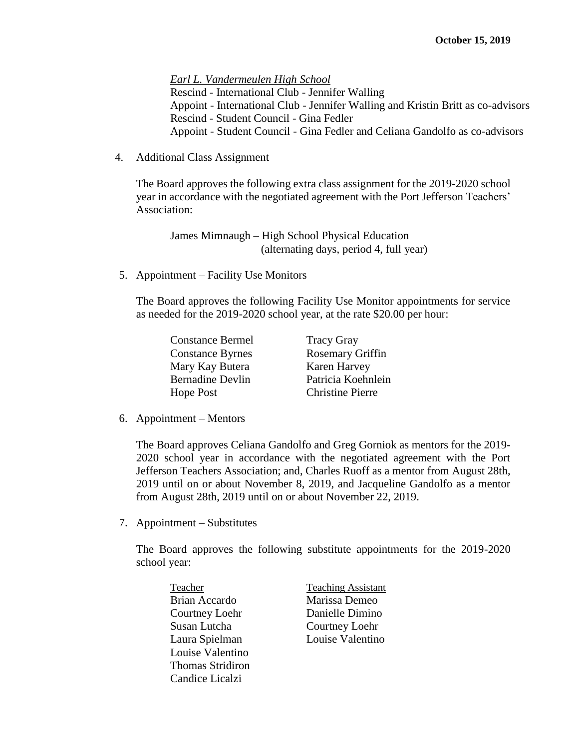*Earl L. Vandermeulen High School* Rescind - International Club - Jennifer Walling Appoint - International Club - Jennifer Walling and Kristin Britt as co-advisors Rescind - Student Council - Gina Fedler Appoint - Student Council - Gina Fedler and Celiana Gandolfo as co-advisors

4. Additional Class Assignment

The Board approves the following extra class assignment for the 2019-2020 school year in accordance with the negotiated agreement with the Port Jefferson Teachers' Association:

James Mimnaugh – High School Physical Education (alternating days, period 4, full year)

5. Appointment – Facility Use Monitors

The Board approves the following Facility Use Monitor appointments for service as needed for the 2019-2020 school year, at the rate \$20.00 per hour:

| <b>Constance Bermel</b> | <b>Tracy Gray</b>       |
|-------------------------|-------------------------|
| <b>Constance Byrnes</b> | Rosemary Griffin        |
| Mary Kay Butera         | Karen Harvey            |
| <b>Bernadine Devlin</b> | Patricia Koehnlein      |
| Hope Post               | <b>Christine Pierre</b> |

6. Appointment – Mentors

The Board approves Celiana Gandolfo and Greg Gorniok as mentors for the 2019- 2020 school year in accordance with the negotiated agreement with the Port Jefferson Teachers Association; and, Charles Ruoff as a mentor from August 28th, 2019 until on or about November 8, 2019, and Jacqueline Gandolfo as a mentor from August 28th, 2019 until on or about November 22, 2019.

7. Appointment – Substitutes

The Board approves the following substitute appointments for the 2019-2020 school year:

- Brian Accardo Marissa Demeo Courtney Loehr Danielle Dimino Susan Lutcha Courtney Loehr Laura Spielman Louise Valentino Louise Valentino Thomas Stridiron Candice Licalzi
- Teacher Teaching Assistant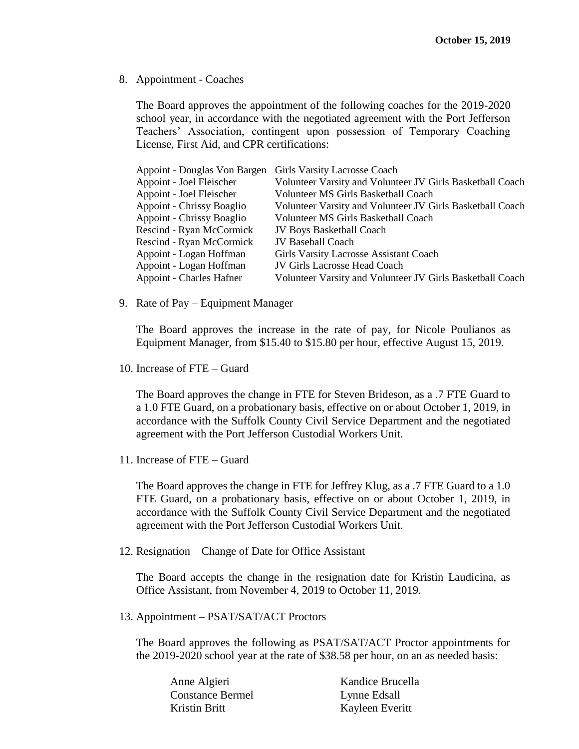8. Appointment - Coaches

The Board approves the appointment of the following coaches for the 2019-2020 school year, in accordance with the negotiated agreement with the Port Jefferson Teachers' Association, contingent upon possession of Temporary Coaching License, First Aid, and CPR certifications:

| Appoint - Douglas Von Bargen    | Girls Varsity Lacrosse Coach                              |
|---------------------------------|-----------------------------------------------------------|
| Appoint - Joel Fleischer        | Volunteer Varsity and Volunteer JV Girls Basketball Coach |
| Appoint - Joel Fleischer        | Volunteer MS Girls Basketball Coach                       |
| Appoint - Chrissy Boaglio       | Volunteer Varsity and Volunteer JV Girls Basketball Coach |
| Appoint - Chrissy Boaglio       | Volunteer MS Girls Basketball Coach                       |
| <b>Rescind - Ryan McCormick</b> | <b>JV Boys Basketball Coach</b>                           |
| Rescind - Ryan McCormick        | <b>JV Baseball Coach</b>                                  |
| Appoint - Logan Hoffman         | Girls Varsity Lacrosse Assistant Coach                    |
| Appoint - Logan Hoffman         | JV Girls Lacrosse Head Coach                              |
| <b>Appoint - Charles Hafner</b> | Volunteer Varsity and Volunteer JV Girls Basketball Coach |
|                                 |                                                           |

9. Rate of Pay – Equipment Manager

The Board approves the increase in the rate of pay, for Nicole Poulianos as Equipment Manager, from \$15.40 to \$15.80 per hour, effective August 15, 2019.

10. Increase of FTE – Guard

The Board approves the change in FTE for Steven Brideson, as a .7 FTE Guard to a 1.0 FTE Guard, on a probationary basis, effective on or about October 1, 2019, in accordance with the Suffolk County Civil Service Department and the negotiated agreement with the Port Jefferson Custodial Workers Unit.

11. Increase of FTE – Guard

The Board approves the change in FTE for Jeffrey Klug, as a .7 FTE Guard to a 1.0 FTE Guard, on a probationary basis, effective on or about October 1, 2019, in accordance with the Suffolk County Civil Service Department and the negotiated agreement with the Port Jefferson Custodial Workers Unit.

12. Resignation – Change of Date for Office Assistant

The Board accepts the change in the resignation date for Kristin Laudicina, as Office Assistant, from November 4, 2019 to October 11, 2019.

13. Appointment – PSAT/SAT/ACT Proctors

The Board approves the following as PSAT/SAT/ACT Proctor appointments for the 2019-2020 school year at the rate of \$38.58 per hour, on an as needed basis:

| Kandice Brucella |
|------------------|
| Lynne Edsall     |
| Kayleen Everitt  |
|                  |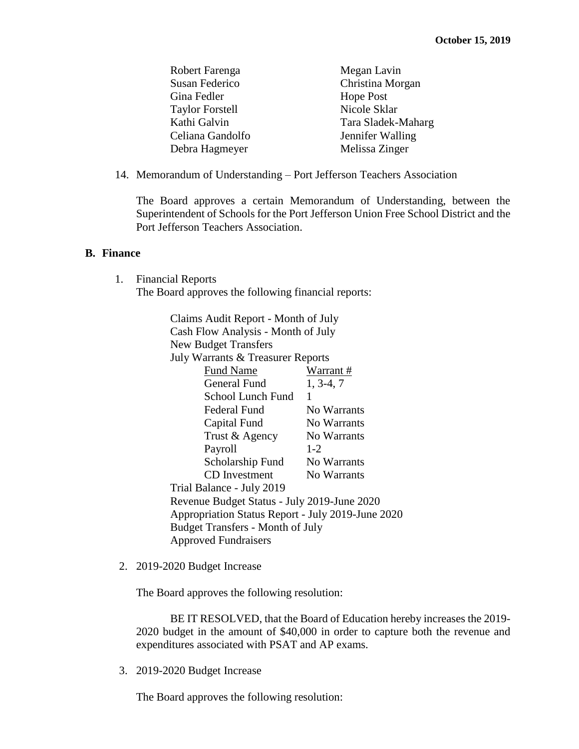| Robert Farenga         | Megan Lavin        |
|------------------------|--------------------|
| Susan Federico         | Christina Morgan   |
| Gina Fedler            | <b>Hope Post</b>   |
| <b>Taylor Forstell</b> | Nicole Sklar       |
| Kathi Galvin           | Tara Sladek-Maharg |
| Celiana Gandolfo       | Jennifer Walling   |
| Debra Hagmeyer         | Melissa Zinger     |

14. Memorandum of Understanding – Port Jefferson Teachers Association

The Board approves a certain Memorandum of Understanding, between the Superintendent of Schools for the Port Jefferson Union Free School District and the Port Jefferson Teachers Association.

#### **B. Finance**

1. Financial Reports The Board approves the following financial reports:

> Claims Audit Report - Month of July Cash Flow Analysis - Month of July New Budget Transfers July Warrants & Treasurer Reports Fund Name Warrant # General Fund 1, 3-4, 7 School Lunch Fund 1 Federal Fund No Warrants Capital Fund No Warrants Trust & Agency No Warrants Payroll 1-2 Scholarship Fund No Warrants CD Investment No Warrants Trial Balance - July 2019 Revenue Budget Status - July 2019-June 2020 Appropriation Status Report - July 2019-June 2020 Budget Transfers - Month of July Approved Fundraisers

2. 2019-2020 Budget Increase

The Board approves the following resolution:

BE IT RESOLVED, that the Board of Education hereby increases the 2019- 2020 budget in the amount of \$40,000 in order to capture both the revenue and expenditures associated with PSAT and AP exams.

3. 2019-2020 Budget Increase

The Board approves the following resolution: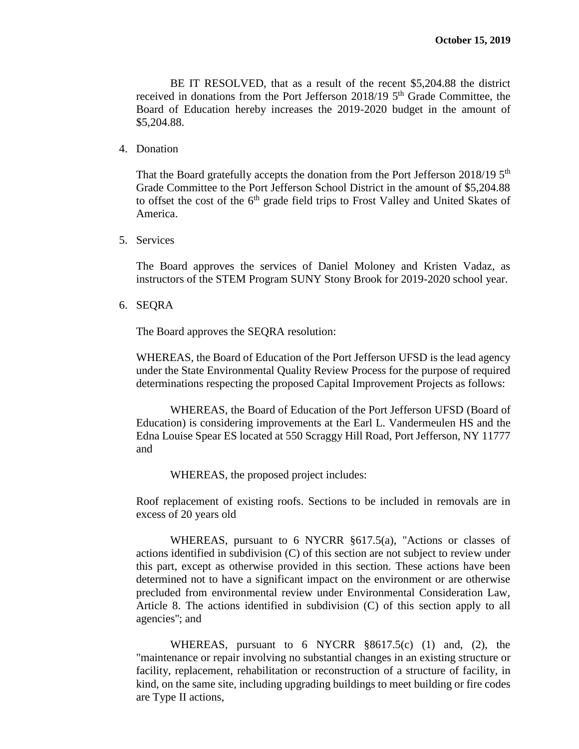BE IT RESOLVED, that as a result of the recent \$5,204.88 the district received in donations from the Port Jefferson  $2018/19$  5<sup>th</sup> Grade Committee, the Board of Education hereby increases the 2019-2020 budget in the amount of \$5,204.88.

4. Donation

That the Board gratefully accepts the donation from the Port Jefferson 2018/19  $5<sup>th</sup>$ Grade Committee to the Port Jefferson School District in the amount of \$5,204.88 to offset the cost of the  $6<sup>th</sup>$  grade field trips to Frost Valley and United Skates of America.

5. Services

The Board approves the services of Daniel Moloney and Kristen Vadaz, as instructors of the STEM Program SUNY Stony Brook for 2019-2020 school year.

6. SEQRA

The Board approves the SEQRA resolution:

WHEREAS, the Board of Education of the Port Jefferson UFSD is the lead agency under the State Environmental Quality Review Process for the purpose of required determinations respecting the proposed Capital Improvement Projects as follows:

WHEREAS, the Board of Education of the Port Jefferson UFSD (Board of Education) is considering improvements at the Earl L. Vandermeulen HS and the Edna Louise Spear ES located at 550 Scraggy Hill Road, Port Jefferson, NY 11777 and

WHEREAS, the proposed project includes:

Roof replacement of existing roofs. Sections to be included in removals are in excess of 20 years old

WHEREAS, pursuant to 6 NYCRR §617.5(a), "Actions or classes of actions identified in subdivision (C) of this section are not subject to review under this part, except as otherwise provided in this section. These actions have been determined not to have a significant impact on the environment or are otherwise precluded from environmental review under Environmental Consideration Law, Article 8. The actions identified in subdivision (C) of this section apply to all agencies''; and

WHEREAS, pursuant to 6 NYCRR §8617.5(c) (1) and, (2), the "maintenance or repair involving no substantial changes in an existing structure or facility, replacement, rehabilitation or reconstruction of a structure of facility, in kind, on the same site, including upgrading buildings to meet building or fire codes are Type II actions,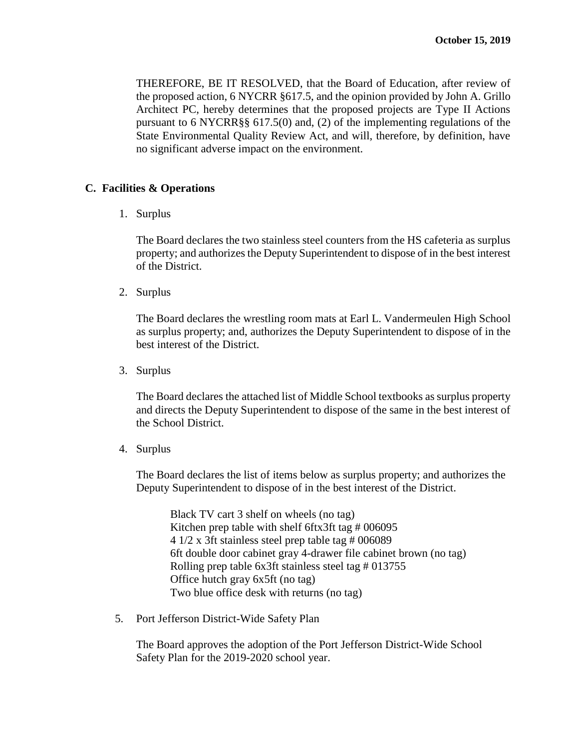THEREFORE, BE IT RESOLVED, that the Board of Education, after review of the proposed action, 6 NYCRR §617.5, and the opinion provided by John A. Grillo Architect PC, hereby determines that the proposed projects are Type II Actions pursuant to 6 NYCRR§§ 617.5(0) and, (2) of the implementing regulations of the State Environmental Quality Review Act, and will, therefore, by definition, have no significant adverse impact on the environment.

### **C. Facilities & Operations**

1. Surplus

The Board declares the two stainless steel counters from the HS cafeteria as surplus property; and authorizes the Deputy Superintendent to dispose of in the best interest of the District.

2. Surplus

The Board declares the wrestling room mats at Earl L. Vandermeulen High School as surplus property; and, authorizes the Deputy Superintendent to dispose of in the best interest of the District.

3. Surplus

The Board declares the attached list of Middle School textbooks as surplus property and directs the Deputy Superintendent to dispose of the same in the best interest of the School District.

4. Surplus

The Board declares the list of items below as surplus property; and authorizes the Deputy Superintendent to dispose of in the best interest of the District.

Black TV cart 3 shelf on wheels (no tag) Kitchen prep table with shelf 6ftx3ft tag # 006095 4 1/2 x 3ft stainless steel prep table tag # 006089 6ft double door cabinet gray 4-drawer file cabinet brown (no tag) Rolling prep table 6x3ft stainless steel tag # 013755 Office hutch gray 6x5ft (no tag) Two blue office desk with returns (no tag)

5. Port Jefferson District-Wide Safety Plan

The Board approves the adoption of the Port Jefferson District-Wide School Safety Plan for the 2019-2020 school year.